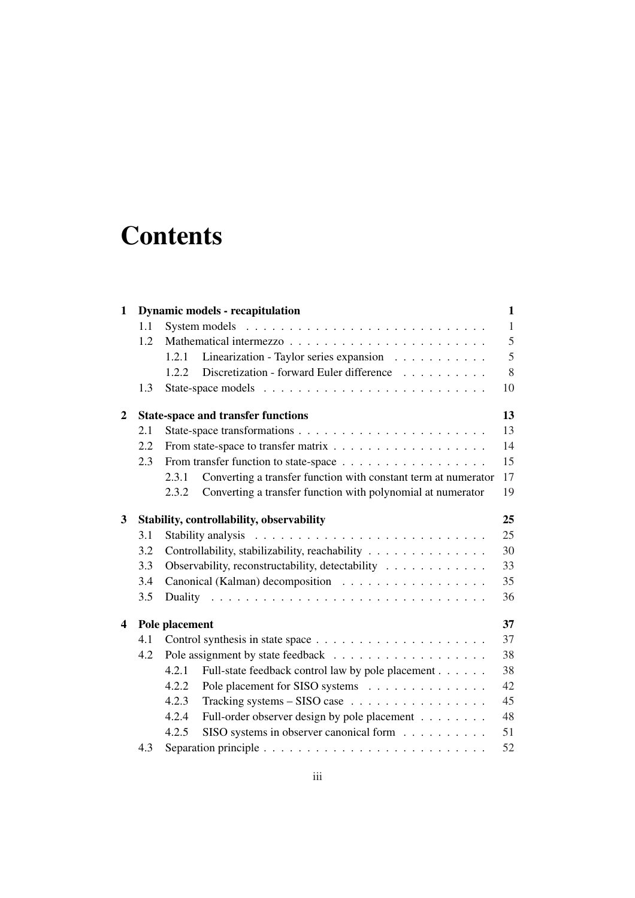# **Contents**

| 1                       |     | <b>Dynamic models - recapitulation</b>                                  | $\mathbf{1}$ |
|-------------------------|-----|-------------------------------------------------------------------------|--------------|
|                         | 1.1 |                                                                         | $\mathbf{1}$ |
|                         | 1.2 |                                                                         | 5            |
|                         |     | Linearization - Taylor series expansion<br>1.2.1                        | 5            |
|                         |     | Discretization - forward Euler difference<br>1.2.2                      | 8            |
|                         | 1.3 |                                                                         | 10           |
| $\overline{2}$          |     | <b>State-space and transfer functions</b>                               | 13           |
|                         | 2.1 |                                                                         | 13           |
|                         | 2.2 |                                                                         | 14           |
|                         | 2.3 |                                                                         | 15           |
|                         |     | Converting a transfer function with constant term at numerator<br>2.3.1 | 17           |
|                         |     | Converting a transfer function with polynomial at numerator<br>2.3.2    | 19           |
| 3                       |     | Stability, controllability, observability                               | 25           |
|                         | 3.1 |                                                                         | 25           |
|                         | 3.2 | Controllability, stabilizability, reachability                          | 30           |
|                         | 3.3 | Observability, reconstructability, detectability                        | 33           |
|                         | 3.4 | Canonical (Kalman) decomposition                                        | 35           |
|                         | 3.5 |                                                                         | 36           |
| $\overline{\mathbf{4}}$ |     | Pole placement                                                          | 37           |
|                         | 4.1 |                                                                         | 37           |
|                         | 4.2 |                                                                         | 38           |
|                         |     | 4.2.1<br>Full-state feedback control law by pole placement              | 38           |
|                         |     | 4.2.2<br>Pole placement for SISO systems                                | 42           |
|                         |     | Tracking systems - SISO case<br>4.2.3                                   | 45           |
|                         |     | 4.2.4<br>Full-order observer design by pole placement                   | 48           |
|                         |     | SISO systems in observer canonical form<br>4.2.5                        | 51           |
|                         | 4.3 |                                                                         | 52           |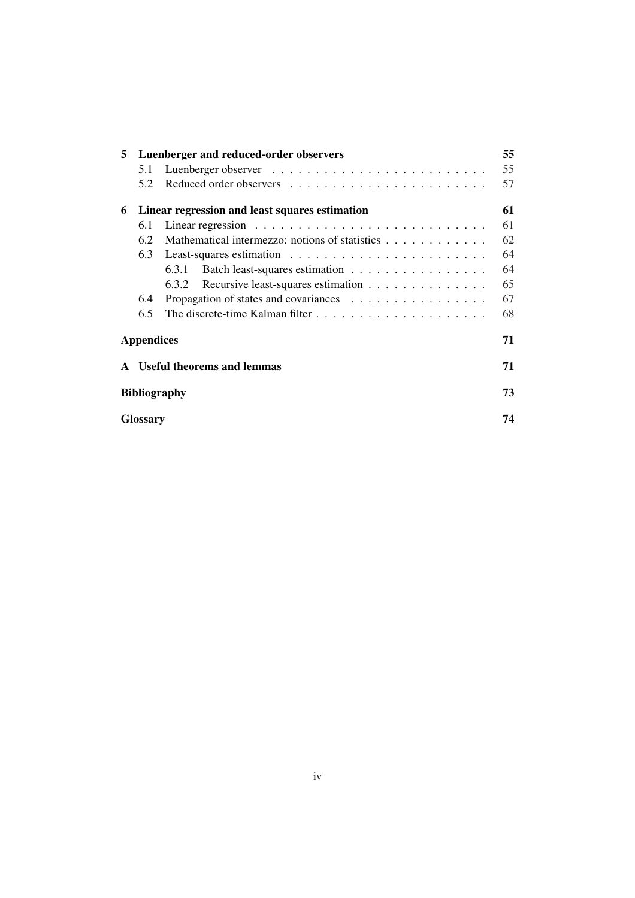| 5                 | Luenberger and reduced-order observers |                                                |    |  |  |
|-------------------|----------------------------------------|------------------------------------------------|----|--|--|
|                   | 5.1                                    |                                                | 55 |  |  |
|                   | 5.2                                    |                                                | 57 |  |  |
| 6                 |                                        | Linear regression and least squares estimation | 61 |  |  |
|                   | 6.1                                    |                                                | 61 |  |  |
|                   | 6.2                                    | Mathematical intermezzo: notions of statistics | 62 |  |  |
|                   | 6.3                                    |                                                | 64 |  |  |
|                   |                                        | Batch least-squares estimation<br>6.3.1        | 64 |  |  |
|                   |                                        | 6.3.2 Recursive least-squares estimation       | 65 |  |  |
|                   | 6.4                                    | Propagation of states and covariances          | 67 |  |  |
|                   | 6.5                                    |                                                | 68 |  |  |
| <b>Appendices</b> |                                        |                                                |    |  |  |
|                   |                                        | <b>Useful theorems and lemmas</b>              | 71 |  |  |
|                   | <b>Bibliography</b>                    |                                                |    |  |  |
|                   | <b>Glossary</b>                        |                                                |    |  |  |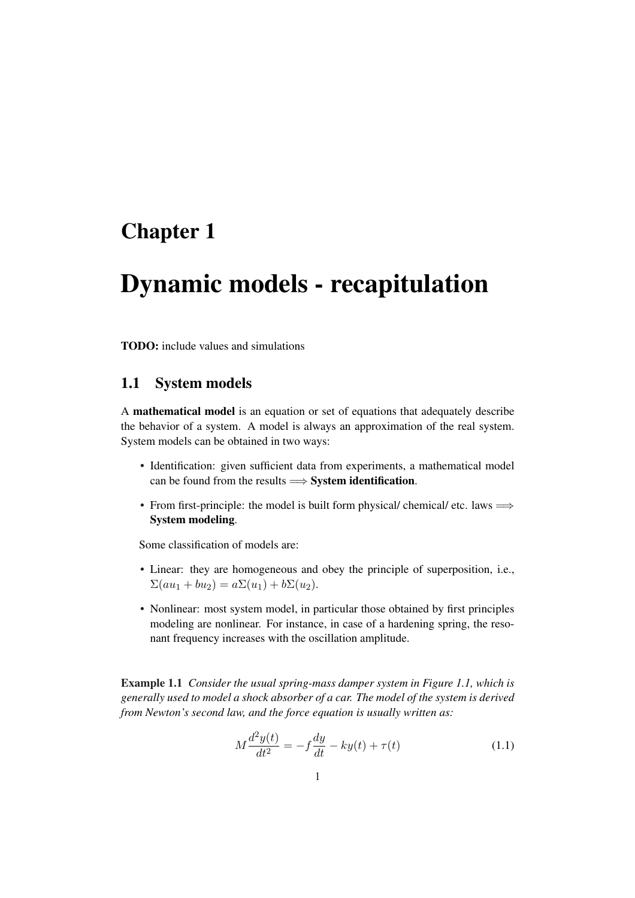## Chapter 1

## Dynamic models - recapitulation

TODO: include values and simulations

## 1.1 System models

A mathematical model is an equation or set of equations that adequately describe the behavior of a system. A model is always an approximation of the real system. System models can be obtained in two ways:

- Identification: given sufficient data from experiments, a mathematical model can be found from the results  $\Longrightarrow$  System identification.
- From first-principle: the model is built form physical/ chemical/ etc. laws  $\Longrightarrow$ System modeling.

Some classification of models are:

- Linear: they are homogeneous and obey the principle of superposition, i.e.,  $\Sigma(au_1 + bu_2) = a\Sigma(u_1) + b\Sigma(u_2).$
- Nonlinear: most system model, in particular those obtained by first principles modeling are nonlinear. For instance, in case of a hardening spring, the resonant frequency increases with the oscillation amplitude.

Example 1.1 *Consider the usual spring-mass damper system in Figure 1.1, which is generally used to model a shock absorber of a car. The model of the system is derived from Newton's second law, and the force equation is usually written as:*

$$
M\frac{d^2y(t)}{dt^2} = -f\frac{dy}{dt} - ky(t) + \tau(t)
$$
\n(1.1)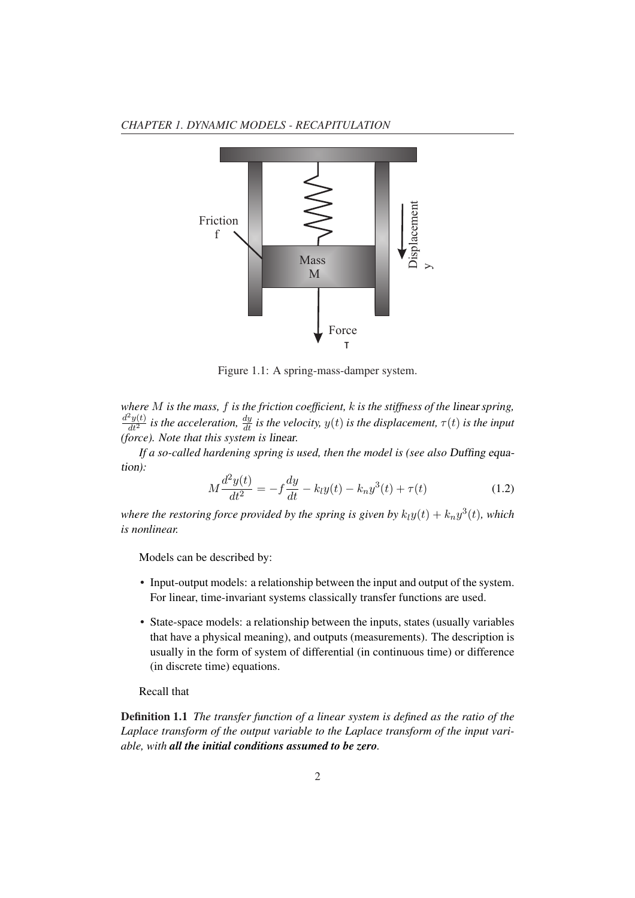



Figure 1.1: A spring-mass-damper system.

*where* M *is the mass,* f *is the friction coefficient,* k *is the stiffness of the* linear *spring,*  $\frac{d^2y(t)}{dt^2}$  is the acceleration,  $\frac{dy}{dt}$  is the velocity,  $y(t)$  is the displacement,  $\tau(t)$  is the input *(force). Note that this system is* linear*.*

*If a so-called hardening spring is used, then the model is (see also* Duffing equation*):*

$$
M\frac{d^2y(t)}{dt^2} = -f\frac{dy}{dt} - k_ly(t) - k_ny^3(t) + \tau(t)
$$
\n(1.2)

where the restoring force provided by the spring is given by  $k_l y(t) + k_n y^3(t)$ , which *is nonlinear.*

Models can be described by:

- Input-output models: a relationship between the input and output of the system. For linear, time-invariant systems classically transfer functions are used.
- State-space models: a relationship between the inputs, states (usually variables that have a physical meaning), and outputs (measurements). The description is usually in the form of system of differential (in continuous time) or difference (in discrete time) equations.

#### Recall that

Definition 1.1 *The transfer function of a linear system is defined as the ratio of the Laplace transform of the output variable to the Laplace transform of the input variable, with all the initial conditions assumed to be zero.*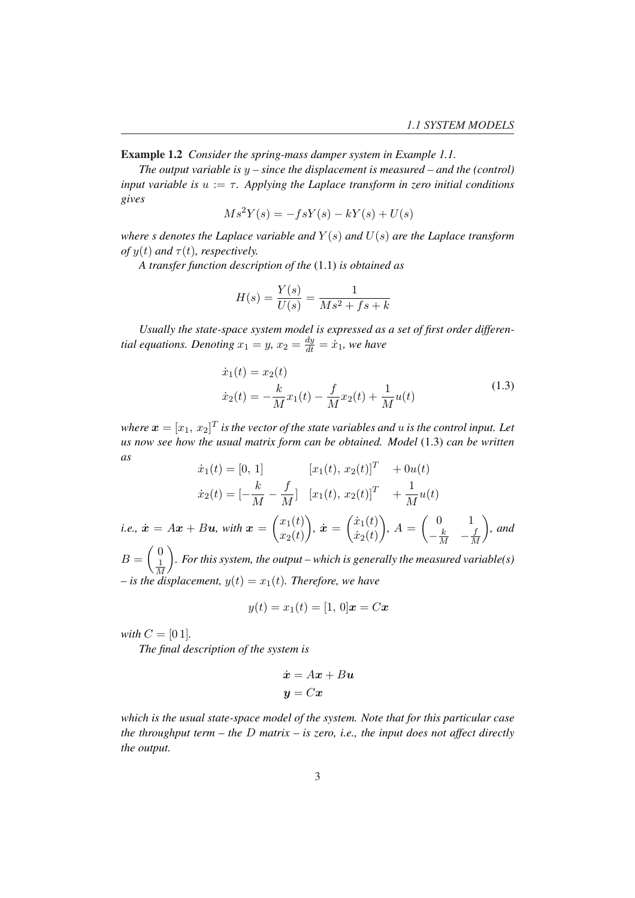Example 1.2 *Consider the spring-mass damper system in Example 1.1.*

*The output variable is* y *– since the displacement is measured – and the (control) input variable is*  $u := \tau$ *. Applying the Laplace transform in zero initial conditions gives*

$$
Ms^2Y(s) = -fsY(s) - kY(s) + U(s)
$$

*where s denotes the Laplace variable and*  $Y(s)$  *and*  $U(s)$  *are the Laplace transform of*  $y(t)$  *and*  $\tau(t)$ *, respectively.* 

*A transfer function description of the* (1.1) *is obtained as*

$$
H(s) = \frac{Y(s)}{U(s)} = \frac{1}{Ms^2 + fs + k}
$$

*Usually the state-space system model is expressed as a set of first order differential equations. Denoting*  $x_1 = y$ ,  $x_2 = \frac{dy}{dt} = \dot{x}_1$ , we have

$$
\begin{aligned} \dot{x}_1(t) &= x_2(t) \\ \dot{x}_2(t) &= -\frac{k}{M}x_1(t) - \frac{f}{M}x_2(t) + \frac{1}{M}u(t) \end{aligned} \tag{1.3}
$$

where  $\boldsymbol{x}=[x_1,\,x_2]^T$  is the vector of the state variables and  $u$  is the control input. Let *us now see how the usual matrix form can be obtained. Model* (1.3) *can be written as*

$$
\dot{x}_1(t) = [0, 1] \qquad [x_1(t), x_2(t)]^T + 0u(t)
$$

$$
\dot{x}_2(t) = [-\frac{k}{M} - \frac{f}{M}] \quad [x_1(t), x_2(t)]^T + \frac{1}{M}u(t)
$$
  
i.e.,  $\dot{x} = Ax + Bu$ , with  $\mathbf{x} = \begin{pmatrix} x_1(t) \\ x_2(t) \end{pmatrix}$ ,  $\dot{x} = \begin{pmatrix} \dot{x}_1(t) \\ \dot{x}_2(t) \end{pmatrix}$ ,  $A = \begin{pmatrix} 0 & 1 \\ -\frac{k}{M} & -\frac{f}{M} \end{pmatrix}$ , and  $B = \begin{pmatrix} 0 \\ \frac{1}{M} \end{pmatrix}$ . For this system, the output—which is generally the measured variable(s)

 $\sqrt{M}$ <br>*– is the displacement,*  $y(t) = x_1(t)$ *. Therefore, we have* 

$$
y(t) = x_1(t) = [1, 0]x = Cx
$$

*with*  $C = [0 1]$ *.* 

*The final description of the system is*

$$
\begin{aligned}\n\dot{\boldsymbol{x}} &= A\boldsymbol{x} + B\boldsymbol{u} \\
\boldsymbol{y} &= C\boldsymbol{x}\n\end{aligned}
$$

*which is the usual state-space model of the system. Note that for this particular case the throughput term – the* D *matrix – is zero, i.e., the input does not affect directly the output.*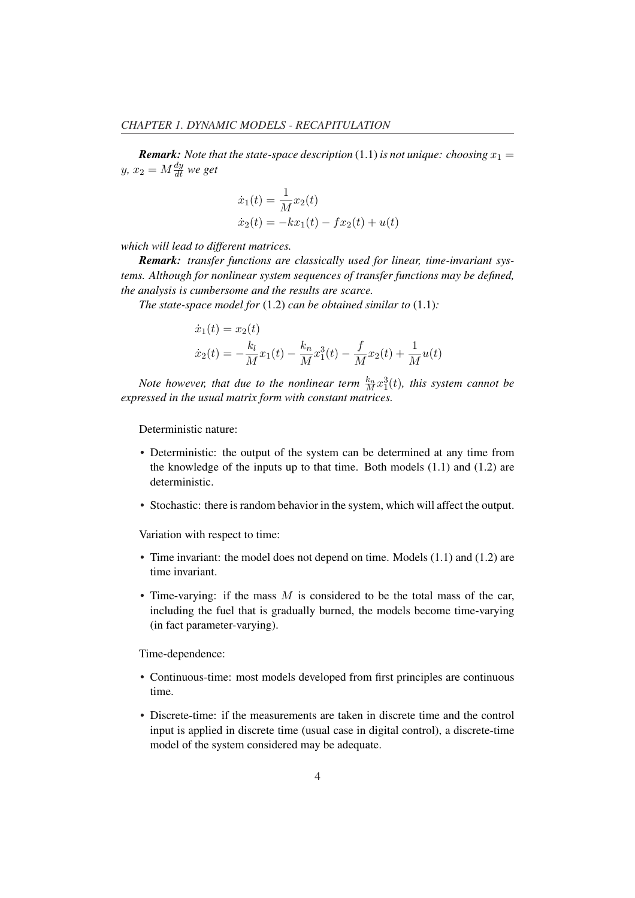*Remark: Note that the state-space description (1.1) is not unique: choosing*  $x_1 =$  $y, x_2 = M \frac{dy}{dt}$  we get

$$
\dot{x}_1(t) = \frac{1}{M}x_2(t)
$$
  

$$
\dot{x}_2(t) = -kx_1(t) - fx_2(t) + u(t)
$$

*which will lead to different matrices.*

*Remark: transfer functions are classically used for linear, time-invariant systems. Although for nonlinear system sequences of transfer functions may be defined, the analysis is cumbersome and the results are scarce.*

*The state-space model for* (1.2) *can be obtained similar to* (1.1)*:*

$$
\dot{x}_1(t) = x_2(t)
$$
  

$$
\dot{x}_2(t) = -\frac{k_l}{M}x_1(t) - \frac{k_n}{M}x_1^3(t) - \frac{f}{M}x_2(t) + \frac{1}{M}u(t)
$$

Note however, that due to the nonlinear term  $\frac{k_n}{M}x_1^3(t)$ , this system cannot be *expressed in the usual matrix form with constant matrices.*

Deterministic nature:

- Deterministic: the output of the system can be determined at any time from the knowledge of the inputs up to that time. Both models  $(1.1)$  and  $(1.2)$  are deterministic.
- Stochastic: there is random behavior in the system, which will affect the output.

Variation with respect to time:

- Time invariant: the model does not depend on time. Models (1.1) and (1.2) are time invariant.
- Time-varying: if the mass  $M$  is considered to be the total mass of the car, including the fuel that is gradually burned, the models become time-varying (in fact parameter-varying).

Time-dependence:

- Continuous-time: most models developed from first principles are continuous time.
- Discrete-time: if the measurements are taken in discrete time and the control input is applied in discrete time (usual case in digital control), a discrete-time model of the system considered may be adequate.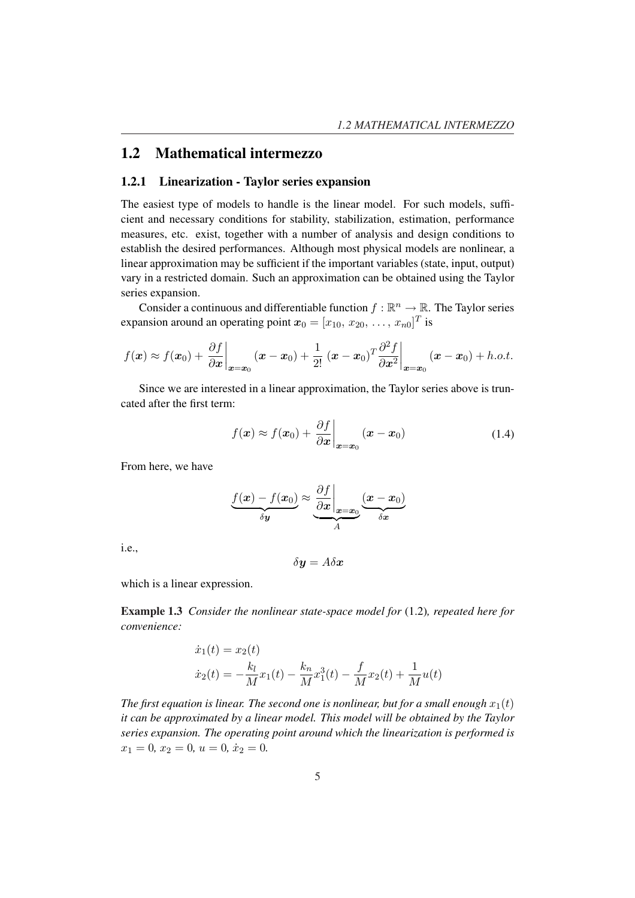## 1.2 Mathematical intermezzo

#### 1.2.1 Linearization - Taylor series expansion

The easiest type of models to handle is the linear model. For such models, sufficient and necessary conditions for stability, stabilization, estimation, performance measures, etc. exist, together with a number of analysis and design conditions to establish the desired performances. Although most physical models are nonlinear, a linear approximation may be sufficient if the important variables (state, input, output) vary in a restricted domain. Such an approximation can be obtained using the Taylor series expansion.

Consider a continuous and differentiable function  $f : \mathbb{R}^n \to \mathbb{R}$ . The Taylor series expansion around an operating point  $x_0 = [x_{10}, x_{20}, \dots, x_{n0}]^T$  is

$$
f(\mathbf{x}) \approx f(\mathbf{x}_0) + \frac{\partial f}{\partial \mathbf{x}}\bigg|_{\mathbf{x}=\mathbf{x}_0} (\mathbf{x} - \mathbf{x}_0) + \frac{1}{2!} (\mathbf{x} - \mathbf{x}_0)^T \frac{\partial^2 f}{\partial \mathbf{x}^2}\bigg|_{\mathbf{x}=\mathbf{x}_0} (\mathbf{x} - \mathbf{x}_0) + h.o.t.
$$

Since we are interested in a linear approximation, the Taylor series above is truncated after the first term:

$$
f(\boldsymbol{x}) \approx f(\boldsymbol{x}_0) + \left. \frac{\partial f}{\partial \boldsymbol{x}} \right|_{\boldsymbol{x} = \boldsymbol{x}_0} (\boldsymbol{x} - \boldsymbol{x}_0)
$$
 (1.4)

From here, we have

$$
\underbrace{f(\mathbf{x}) - f(\mathbf{x}_0)}_{\delta \mathbf{y}} \approx \underbrace{\frac{\partial f}{\partial \mathbf{x}}}_{A} \underbrace{(\mathbf{x} - \mathbf{x}_0)}_{\delta \mathbf{x}}
$$

i.e.,

 $\delta y = A \delta x$ 

which is a linear expression.

Example 1.3 *Consider the nonlinear state-space model for* (1.2)*, repeated here for convenience:*

$$
\dot{x}_1(t) = x_2(t)
$$
  

$$
\dot{x}_2(t) = -\frac{k_l}{M}x_1(t) - \frac{k_n}{M}x_1^3(t) - \frac{f}{M}x_2(t) + \frac{1}{M}u(t)
$$

*The first equation is linear. The second one is nonlinear, but for a small enough*  $x_1(t)$ *it can be approximated by a linear model. This model will be obtained by the Taylor series expansion. The operating point around which the linearization is performed is*  $x_1 = 0, x_2 = 0, u = 0, \dot{x}_2 = 0.$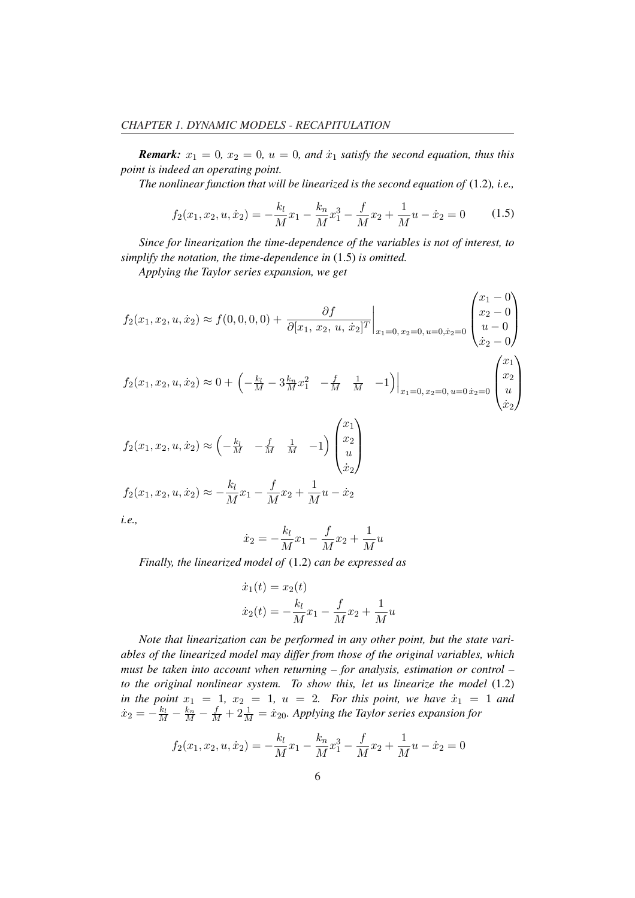*Remark:*  $x_1 = 0$ ,  $x_2 = 0$ ,  $u = 0$ , and  $\dot{x}_1$  satisfy the second equation, thus this *point is indeed an operating point.*

*The nonlinear function that will be linearized is the second equation of* (1.2)*, i.e.,*

$$
f_2(x_1, x_2, u, \dot{x}_2) = -\frac{k_l}{M}x_1 - \frac{k_n}{M}x_1^3 - \frac{f}{M}x_2 + \frac{1}{M}u - \dot{x}_2 = 0 \tag{1.5}
$$

*Since for linearization the time-dependence of the variables is not of interest, to simplify the notation, the time-dependence in* (1.5) *is omitted.*

*Applying the Taylor series expansion, we get*

$$
f_2(x_1, x_2, u, \dot{x}_2) \approx f(0, 0, 0, 0) + \frac{\partial f}{\partial [x_1, x_2, u, \dot{x}_2]^T} \Big|_{x_1 = 0, x_2 = 0, u = 0, \dot{x}_2 = 0} \begin{pmatrix} x_1 - 0 \\ x_2 - 0 \\ u - 0 \\ \dot{x}_2 - 0 \end{pmatrix}
$$
  

$$
f_2(x_1, x_2, u, \dot{x}_2) \approx 0 + \left( -\frac{k_l}{M} - 3\frac{k_n}{M}x_1^2 - \frac{f}{M} \frac{1}{M} - 1 \right) \Big|_{x_1 = 0, x_2 = 0, u = 0, \dot{x}_2 = 0} \begin{pmatrix} x_1 \\ x_2 \\ u \\ \dot{x}_2 \end{pmatrix}
$$
  

$$
f_2(x_1, x_2, u, \dot{x}_2) \approx \left( -\frac{k_l}{M} - \frac{f}{M} \frac{1}{M} - 1 \right) \begin{pmatrix} x_1 \\ x_2 \\ u \\ u \end{pmatrix}
$$

$$
\begin{aligned} \n\langle \dot{x}_2 \rangle \\ f_2(x_1, x_2, u, \dot{x}_2) &\approx -\frac{k_l}{M} x_1 - \frac{f}{M} x_2 + \frac{1}{M} u - \dot{x}_2 \n\end{aligned}
$$

*i.e.,*

$$
\dot{x}_2 = -\frac{k_l}{M}x_1 - \frac{f}{M}x_2 + \frac{1}{M}u
$$

*Finally, the linearized model of* (1.2) *can be expressed as*

$$
\dot{x}_1(t) = x_2(t) \n\dot{x}_2(t) = -\frac{k_l}{M}x_1 - \frac{f}{M}x_2 + \frac{1}{M}u
$$

*Note that linearization can be performed in any other point, but the state variables of the linearized model may differ from those of the original variables, which must be taken into account when returning – for analysis, estimation or control – to the original nonlinear system. To show this, let us linearize the model* (1.2) *in the point*  $x_1 = 1$ ,  $x_2 = 1$ ,  $u = 2$ . For this point, we have  $\dot{x}_1 = 1$  and  $\dot{x}_2=-\frac{k_l}{M}-\frac{f_m}{M}+2\frac{1}{M}=\dot{x}_{20}$ . Applying the Taylor series expansion for

$$
f_2(x_1, x_2, u, \dot{x}_2) = -\frac{k_l}{M}x_1 - \frac{k_n}{M}x_1^3 - \frac{f}{M}x_2 + \frac{1}{M}u - \dot{x}_2 = 0
$$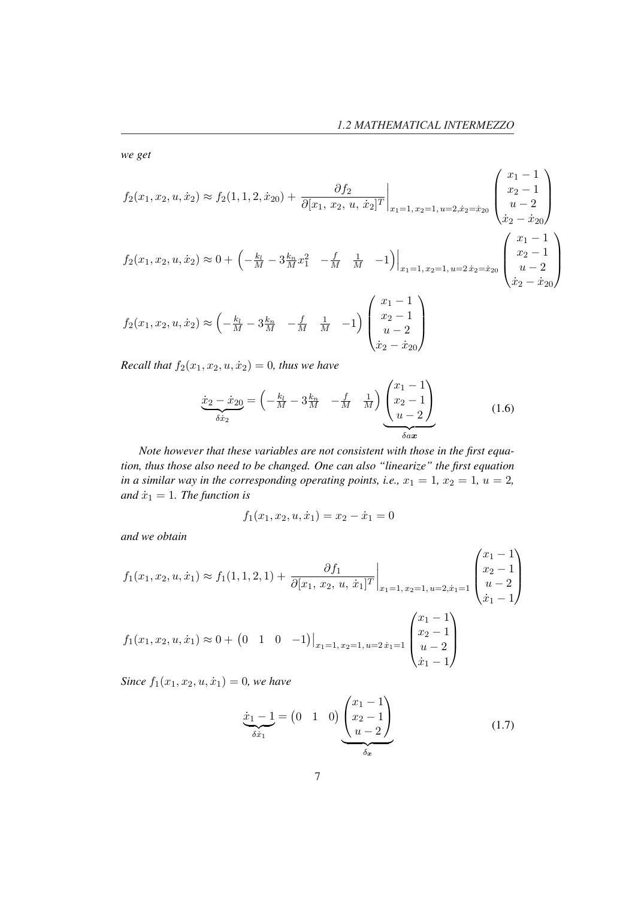*we get*

$$
f_2(x_1, x_2, u, \dot{x}_2) \approx f_2(1, 1, 2, \dot{x}_{20}) + \frac{\partial f_2}{\partial [x_1, x_2, u, \dot{x}_2]^T} \Big|_{x_1 = 1, x_2 = 1, u = 2, \dot{x}_2 = \dot{x}_{20}} \begin{pmatrix} x_1 - 1 \\ x_2 - 1 \\ u - 2 \\ \dot{x}_2 - \dot{x}_{20} \end{pmatrix}
$$
  

$$
f_2(x_1, x_2, u, \dot{x}_2) \approx 0 + \left( -\frac{k_l}{M} - 3\frac{k_n}{M}x_1^2 - \frac{f}{M} - \frac{1}{M} - 1 \right) \Big|_{x_1 = 1, x_2 = 1, u = 2, \dot{x}_2 = \dot{x}_{20}} \begin{pmatrix} x_1 - 1 \\ x_2 - 1 \\ u - 2 \\ \dot{x}_2 - \dot{x}_{20} \end{pmatrix}
$$
  

$$
f_2(x_1, x_2, u, \dot{x}_2) \approx \left( -\frac{k_l}{M} - 3\frac{k_n}{M} - \frac{f}{M} - \frac{1}{M} - 1 \right) \begin{pmatrix} x_1 - 1 \\ x_2 - 1 \\ u - 2 \\ \dot{x}_2 - \dot{x}_{20} \end{pmatrix}
$$

*Recall that*  $f_2(x_1, x_2, u, \dot{x}_2) = 0$ *, thus we have* 

$$
\underbrace{\dot{x}_2 - \dot{x}_{20}}_{\delta \dot{x}_2} = \left( -\frac{k_l}{M} - 3\frac{k_n}{M} - \frac{f}{M} \frac{1}{M} \right) \underbrace{\begin{pmatrix} x_1 - 1 \\ x_2 - 1 \\ u - 2 \end{pmatrix}}_{\delta a x}
$$
(1.6)

*Note however that these variables are not consistent with those in the first equation, thus those also need to be changed. One can also "linearize" the first equation in a similar way in the corresponding operating points, i.e.,*  $x_1 = 1$ ,  $x_2 = 1$ ,  $u = 2$ , *and*  $\dot{x}_1 = 1$ *. The function is* 

$$
f_1(x_1, x_2, u, \dot{x}_1) = x_2 - \dot{x}_1 = 0
$$

*and we obtain*

$$
f_1(x_1, x_2, u, \dot{x}_1) \approx f_1(1, 1, 2, 1) + \left. \frac{\partial f_1}{\partial [x_1, x_2, u, \dot{x}_1]^T} \right|_{x_1 = 1, x_2 = 1, u = 2, \dot{x}_1 = 1} \begin{pmatrix} x_1 - 1 \\ x_2 - 1 \\ u - 2 \\ \dot{x}_1 - 1 \end{pmatrix}
$$

$$
f_1(x_1, x_2, u, \dot{x}_1) \approx 0 + \left(0 \quad 1 \quad 0 \quad -1\right) \Big|_{x_1 = 1, x_2 = 1, u = 2, \dot{x}_1 = 1} \begin{pmatrix} x_1 - 1 \\ x_2 - 1 \\ u - 2 \\ \dot{x}_1 - 1 \end{pmatrix}
$$

*Since*  $f_1(x_1, x_2, u, \dot{x}_1) = 0$ *, we have* 

$$
\underbrace{\dot{x}_1 - 1}_{\delta \dot{x}_1} = \begin{pmatrix} 0 & 1 & 0 \end{pmatrix} \underbrace{\begin{pmatrix} x_1 - 1 \\ x_2 - 1 \\ u - 2 \end{pmatrix}}_{\delta_x} \tag{1.7}
$$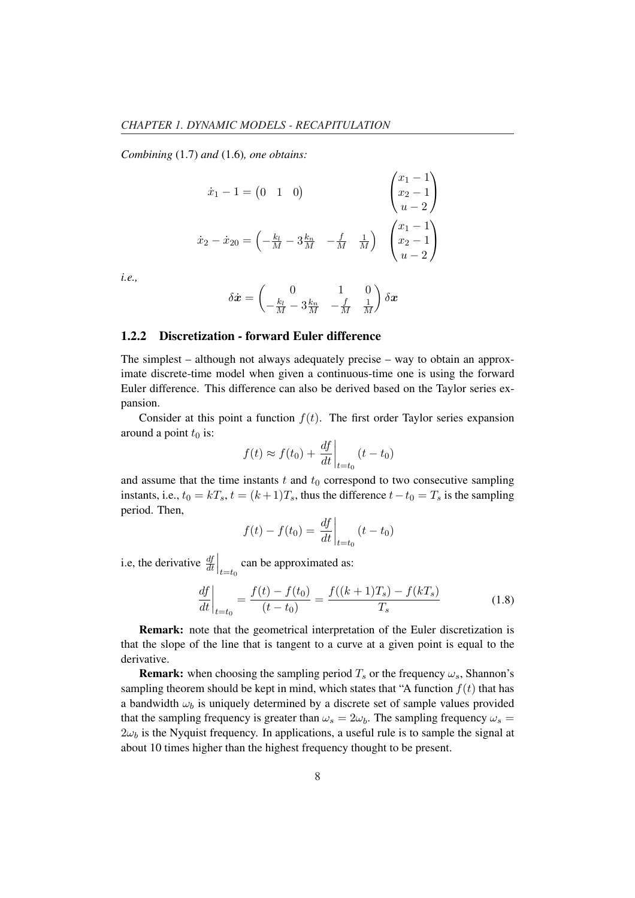*Combining* (1.7) *and* (1.6)*, one obtains:*

$$
\begin{aligned}\n\dot{x}_1 - 1 &= \begin{pmatrix} 0 & 1 & 0 \end{pmatrix} & \begin{pmatrix} x_1 - 1 \\ x_2 - 1 \\ u - 2 \end{pmatrix} \\
\dot{x}_2 - \dot{x}_{20} &= \begin{pmatrix} -\frac{k_l}{M} - 3\frac{k_n}{M} & -\frac{f}{M} & \frac{1}{M} \end{pmatrix} & \begin{pmatrix} x_1 - 1 \\ x_2 - 1 \\ u - 2 \end{pmatrix}\n\end{aligned}
$$

 $\sqrt{2}$ 

 $\overline{1}$ 

*i.e.,*

$$
\delta \dot{\boldsymbol{x}} = \begin{pmatrix} 0 & 1 & 0 \\ -\frac{k_l}{M} - 3\frac{k_n}{M} & -\frac{f}{M} & \frac{1}{M} \end{pmatrix} \delta \boldsymbol{x}
$$

#### 1.2.2 Discretization - forward Euler difference

The simplest – although not always adequately precise – way to obtain an approximate discrete-time model when given a continuous-time one is using the forward Euler difference. This difference can also be derived based on the Taylor series expansion.

Consider at this point a function  $f(t)$ . The first order Taylor series expansion around a point  $t_0$  is:  $\overline{a}$ 

$$
f(t) \approx f(t_0) + \left. \frac{df}{dt} \right|_{t=t_0} (t - t_0)
$$

and assume that the time instants  $t$  and  $t_0$  correspond to two consecutive sampling instants, i.e.,  $t_0 = kT_s$ ,  $t = (k+1)T_s$ , thus the difference  $t-t_0 = T_s$  is the sampling period. Then,  $\overline{a}$ 

$$
f(t) - f(t_0) = \frac{df}{dt}\bigg|_{t=t_0} (t - t_0)
$$

i.e, the derivative  $\frac{df}{dt}$  $\Big|_{t=t_0}$  can be approximated as:

$$
\left. \frac{df}{dt} \right|_{t=t_0} = \frac{f(t) - f(t_0)}{(t - t_0)} = \frac{f((k+1)T_s) - f(kT_s)}{T_s} \tag{1.8}
$$

Remark: note that the geometrical interpretation of the Euler discretization is that the slope of the line that is tangent to a curve at a given point is equal to the derivative.

**Remark:** when choosing the sampling period  $T_s$  or the frequency  $\omega_s$ , Shannon's sampling theorem should be kept in mind, which states that "A function  $f(t)$  that has a bandwidth  $\omega_b$  is uniquely determined by a discrete set of sample values provided that the sampling frequency is greater than  $\omega_s = 2\omega_b$ . The sampling frequency  $\omega_s =$  $2\omega_b$  is the Nyquist frequency. In applications, a useful rule is to sample the signal at about 10 times higher than the highest frequency thought to be present.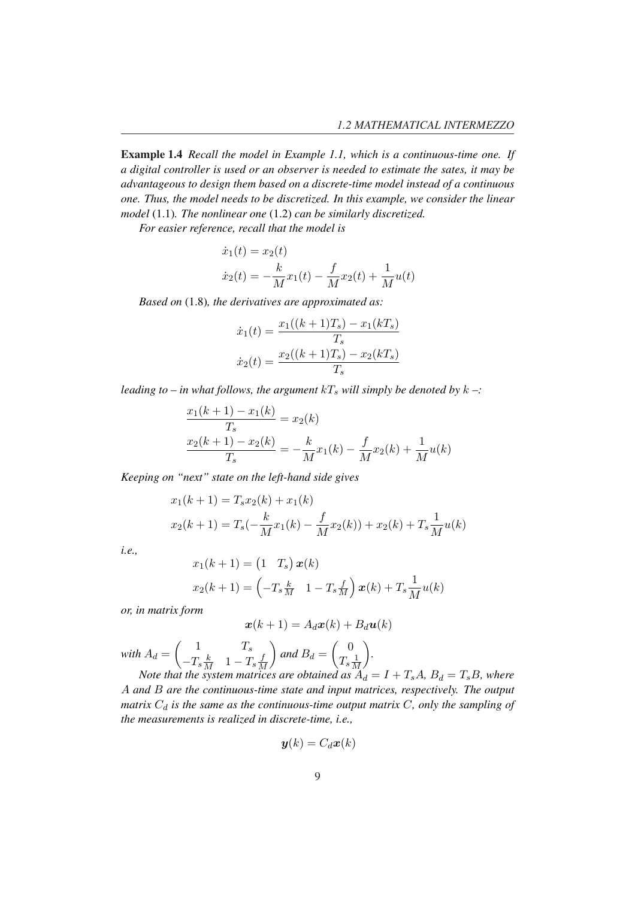Example 1.4 *Recall the model in Example 1.1, which is a continuous-time one. If a digital controller is used or an observer is needed to estimate the sates, it may be advantageous to design them based on a discrete-time model instead of a continuous one. Thus, the model needs to be discretized. In this example, we consider the linear model* (1.1)*. The nonlinear one* (1.2) *can be similarly discretized.*

*For easier reference, recall that the model is*

$$
\dot{x}_1(t) = x_2(t) \n\dot{x}_2(t) = -\frac{k}{M}x_1(t) - \frac{f}{M}x_2(t) + \frac{1}{M}u(t)
$$

*Based on* (1.8)*, the derivatives are approximated as:*

$$
\dot{x}_1(t) = \frac{x_1((k+1)T_s) - x_1(kT_s)}{T_s}
$$

$$
\dot{x}_2(t) = \frac{x_2((k+1)T_s) - x_2(kT_s)}{T_s}
$$

*leading to – in what follows, the argument*  $kT_s$  *will simply be denoted by*  $k -$ :

$$
\frac{x_1(k+1) - x_1(k)}{T_s} = x_2(k)
$$

$$
\frac{x_2(k+1) - x_2(k)}{T_s} = -\frac{k}{M}x_1(k) - \frac{f}{M}x_2(k) + \frac{1}{M}u(k)
$$

*Keeping on "next" state on the left-hand side gives*

$$
x_1(k+1) = T_s x_2(k) + x_1(k)
$$
  

$$
x_2(k+1) = T_s(-\frac{k}{M}x_1(k) - \frac{f}{M}x_2(k)) + x_2(k) + T_s \frac{1}{M}u(k)
$$

*i.e.,*

$$
x_1(k+1) = (1 \t T_s) \t x(k)
$$
  

$$
x_2(k+1) = \left(-T_s \frac{k}{M} \t 1 - T_s \frac{f}{M}\right) \t x(k) + T_s \frac{1}{M} u(k)
$$

*or, in matrix form*

$$
\boldsymbol{x}(k+1) = A_d \boldsymbol{x}(k) + B_d \boldsymbol{u}(k)
$$

*with*  $A_d =$  $\overline{a}$ 1  $T_s$  $-T_s\frac{k}{M}$  1 –  $T_s\frac{f}{M}$ M  $\mathbf{r}$ *and*  $B_d =$  $\overline{a}$ 0  $T_s \frac{1}{\lambda}$ M  $\mathbf{r}$ *.*

*Note that the system matrices are obtained as*  $A_d = I + T_sA$ *,*  $B_d = T_sB$ *, where* A *and* B *are the continuous-time state and input matrices, respectively. The output matrix*  $C_d$  *is the same as the continuous-time output matrix*  $C$ *, only the sampling of the measurements is realized in discrete-time, i.e.,*

$$
\bm{y}(k)=C_d\bm{x}(k)
$$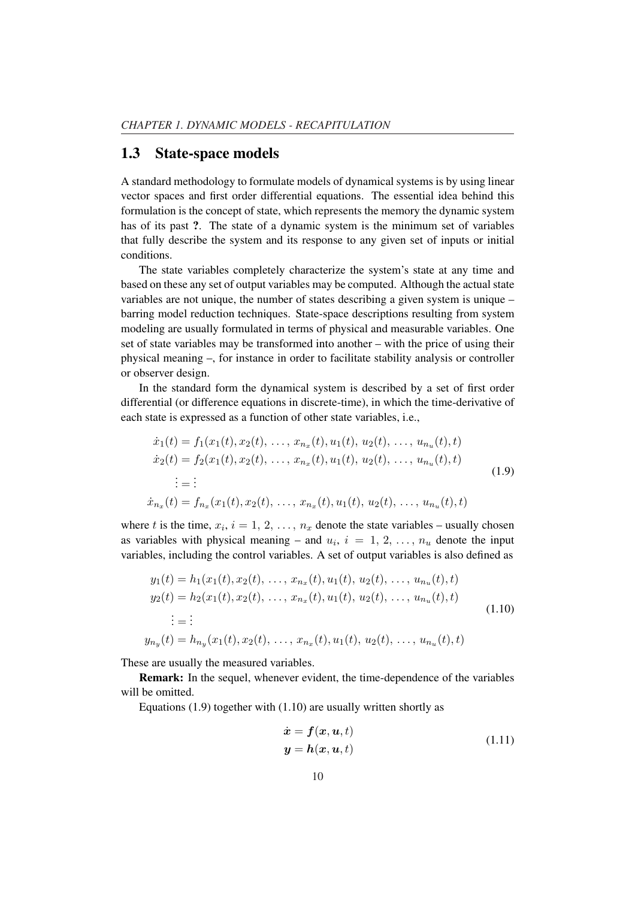### 1.3 State-space models

A standard methodology to formulate models of dynamical systems is by using linear vector spaces and first order differential equations. The essential idea behind this formulation is the concept of state, which represents the memory the dynamic system has of its past ?. The state of a dynamic system is the minimum set of variables that fully describe the system and its response to any given set of inputs or initial conditions.

The state variables completely characterize the system's state at any time and based on these any set of output variables may be computed. Although the actual state variables are not unique, the number of states describing a given system is unique – barring model reduction techniques. State-space descriptions resulting from system modeling are usually formulated in terms of physical and measurable variables. One set of state variables may be transformed into another – with the price of using their physical meaning –, for instance in order to facilitate stability analysis or controller or observer design.

In the standard form the dynamical system is described by a set of first order differential (or difference equations in discrete-time), in which the time-derivative of each state is expressed as a function of other state variables, i.e.,

$$
\begin{aligned}\n\dot{x}_1(t) &= f_1(x_1(t), x_2(t), \dots, x_{n_x}(t), u_1(t), u_2(t), \dots, u_{n_u}(t), t) \\
\dot{x}_2(t) &= f_2(x_1(t), x_2(t), \dots, x_{n_x}(t), u_1(t), u_2(t), \dots, u_{n_u}(t), t) \\
&\vdots = \vdots \\
\dot{x}_{n_x}(t) &= f_{n_x}(x_1(t), x_2(t), \dots, x_{n_x}(t), u_1(t), u_2(t), \dots, u_{n_u}(t), t)\n\end{aligned} \tag{1.9}
$$

where t is the time,  $x_i$ ,  $i = 1, 2, ..., n_x$  denote the state variables – usually chosen as variables with physical meaning – and  $u_i$ ,  $i = 1, 2, ..., n_u$  denote the input variables, including the control variables. A set of output variables is also defined as

$$
y_1(t) = h_1(x_1(t), x_2(t), \dots, x_{n_x}(t), u_1(t), u_2(t), \dots, u_{n_u}(t), t)
$$
  
\n
$$
y_2(t) = h_2(x_1(t), x_2(t), \dots, x_{n_x}(t), u_1(t), u_2(t), \dots, u_{n_u}(t), t)
$$
  
\n
$$
\vdots = \vdots
$$
  
\n
$$
y_{n_y}(t) = h_{n_y}(x_1(t), x_2(t), \dots, x_{n_x}(t), u_1(t), u_2(t), \dots, u_{n_u}(t), t)
$$
\n(1.10)

These are usually the measured variables.

Remark: In the sequel, whenever evident, the time-dependence of the variables will be omitted.

Equations  $(1.9)$  together with  $(1.10)$  are usually written shortly as

$$
\begin{aligned}\n\dot{x} &= f(x, u, t) \\
y &= h(x, u, t)\n\end{aligned} \n\tag{1.11}
$$